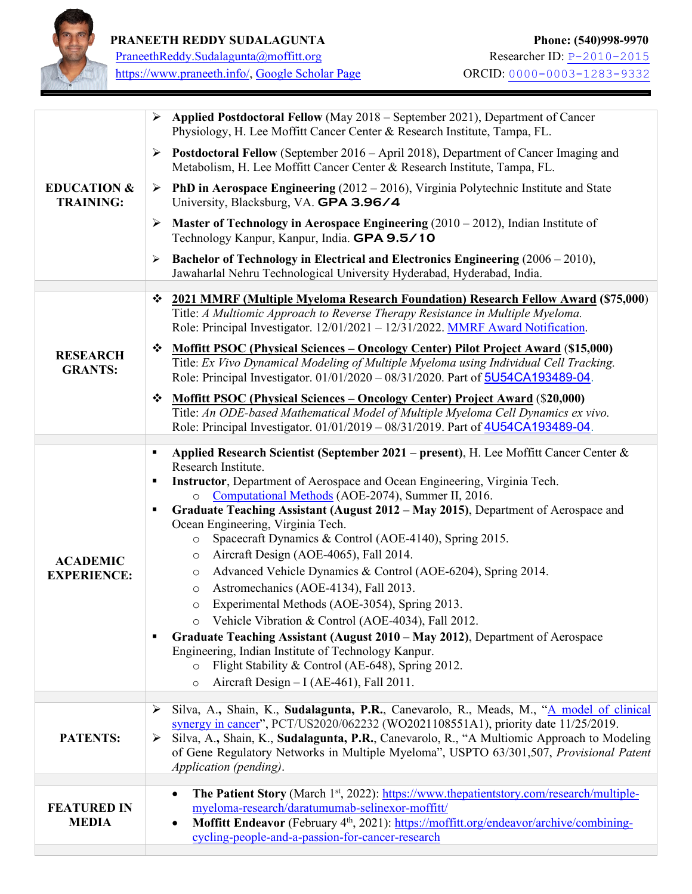

PraneethReddy.Sudalagunta@moffitt.org<br>https://www.praneeth.info/, Google Scholar Page 0RCID: 0000-0003-1283-9332 [https://www.praneeth.info/,](https://www.praneeth.info/) Google Scholar Page

 $\blacksquare$ 

|                                            | Applied Postdoctoral Fellow (May 2018 – September 2021), Department of Cancer<br>➤<br>Physiology, H. Lee Moffitt Cancer Center & Research Institute, Tampa, FL.                                                                                                       |
|--------------------------------------------|-----------------------------------------------------------------------------------------------------------------------------------------------------------------------------------------------------------------------------------------------------------------------|
| <b>EDUCATION &amp;</b><br><b>TRAINING:</b> | $\triangleright$ Postdoctoral Fellow (September 2016 – April 2018), Department of Cancer Imaging and<br>Metabolism, H. Lee Moffitt Cancer Center & Research Institute, Tampa, FL.                                                                                     |
|                                            | <b>PhD in Aerospace Engineering</b> ( $2012 - 2016$ ), Virginia Polytechnic Institute and State<br>➤<br>University, Blacksburg, VA. GPA 3.96/4                                                                                                                        |
|                                            | <b>Master of Technology in Aerospace Engineering</b> $(2010 - 2012)$ , Indian Institute of<br>➤<br>Technology Kanpur, Kanpur, India. GPA 9.5/10                                                                                                                       |
|                                            | Bachelor of Technology in Electrical and Electronics Engineering $(2006 - 2010)$ ,<br>➤<br>Jawaharlal Nehru Technological University Hyderabad, Hyderabad, India.                                                                                                     |
|                                            |                                                                                                                                                                                                                                                                       |
|                                            | 2021 MMRF (Multiple Myeloma Research Foundation) Research Fellow Award (\$75,000)<br>❖<br>Title: A Multiomic Approach to Reverse Therapy Resistance in Multiple Myeloma.<br>Role: Principal Investigator. 12/01/2021 - 12/31/2022. MMRF Award Notification.           |
|                                            | ❖                                                                                                                                                                                                                                                                     |
| <b>RESEARCH</b><br><b>GRANTS:</b>          | <u> Moffitt PSOC (Physical Sciences – Oncology Center) Pilot Project Award (\$15,000)</u><br>Title: Ex Vivo Dynamical Modeling of Multiple Myeloma using Individual Cell Tracking.<br>Role: Principal Investigator. 01/01/2020 - 08/31/2020. Part of 5U54CA193489-04. |
|                                            | Moffitt PSOC (Physical Sciences – Oncology Center) Project Award (\$20,000)<br>❖                                                                                                                                                                                      |
|                                            | Title: An ODE-based Mathematical Model of Multiple Myeloma Cell Dynamics ex vivo.                                                                                                                                                                                     |
|                                            | Role: Principal Investigator. 01/01/2019 - 08/31/2019. Part of 4U54CA193489-04.                                                                                                                                                                                       |
|                                            |                                                                                                                                                                                                                                                                       |
|                                            | Applied Research Scientist (September 2021 – present), H. Lee Moffitt Cancer Center &<br>٠<br>Research Institute.                                                                                                                                                     |
|                                            |                                                                                                                                                                                                                                                                       |
|                                            | Instructor, Department of Aerospace and Ocean Engineering, Virginia Tech.<br>٠                                                                                                                                                                                        |
|                                            | Computational Methods (AOE-2074), Summer II, 2016.<br>$\circ$                                                                                                                                                                                                         |
|                                            | Graduate Teaching Assistant (August 2012 – May 2015), Department of Aerospace and<br>٠                                                                                                                                                                                |
|                                            | Ocean Engineering, Virginia Tech.                                                                                                                                                                                                                                     |
|                                            | Spacecraft Dynamics & Control (AOE-4140), Spring 2015.<br>$\circ$                                                                                                                                                                                                     |
|                                            | Aircraft Design (AOE-4065), Fall 2014.<br>$\circ$                                                                                                                                                                                                                     |
| <b>ACADEMIC</b><br><b>EXPERIENCE:</b>      | Advanced Vehicle Dynamics & Control (AOE-6204), Spring 2014.<br>$\circ$                                                                                                                                                                                               |
|                                            | Astromechanics (AOE-4134), Fall 2013.<br>$\circ$                                                                                                                                                                                                                      |
|                                            | Experimental Methods (AOE-3054), Spring 2013.<br>$\circ$                                                                                                                                                                                                              |
|                                            |                                                                                                                                                                                                                                                                       |
|                                            | Vehicle Vibration & Control (AOE-4034), Fall 2012.                                                                                                                                                                                                                    |
|                                            | Graduate Teaching Assistant (August 2010 – May 2012), Department of Aerospace                                                                                                                                                                                         |
|                                            | Engineering, Indian Institute of Technology Kanpur.<br>$\circ$                                                                                                                                                                                                        |
|                                            | Flight Stability & Control (AE-648), Spring 2012.<br>$\circ$                                                                                                                                                                                                          |
|                                            | Aircraft Design - I (AE-461), Fall 2011.                                                                                                                                                                                                                              |
|                                            | Silva, A., Shain, K., Sudalagunta, P.R., Canevarolo, R., Meads, M., "A model of clinical<br>➤                                                                                                                                                                         |
|                                            | synergy in cancer", PCT/US2020/062232 (WO2021108551A1), priority date 11/25/2019.                                                                                                                                                                                     |
| <b>PATENTS:</b>                            | Silva, A., Shain, K., Sudalagunta, P.R., Canevarolo, R., "A Multiomic Approach to Modeling<br>➤                                                                                                                                                                       |
|                                            | of Gene Regulatory Networks in Multiple Myeloma", USPTO 63/301,507, Provisional Patent                                                                                                                                                                                |
|                                            | Application (pending).                                                                                                                                                                                                                                                |
|                                            |                                                                                                                                                                                                                                                                       |
|                                            | The Patient Story (March 1st, 2022): https://www.thepatientstory.com/research/multiple-<br>$\bullet$                                                                                                                                                                  |
| <b>FEATURED IN</b>                         | myeloma-research/daratumumab-selinexor-moffitt/<br>$\bullet$                                                                                                                                                                                                          |
| <b>MEDIA</b>                               | Moffitt Endeavor (February 4 <sup>th</sup> , 2021): https://moffitt.org/endeavor/archive/combining-<br>cycling-people-and-a-passion-for-cancer-research                                                                                                               |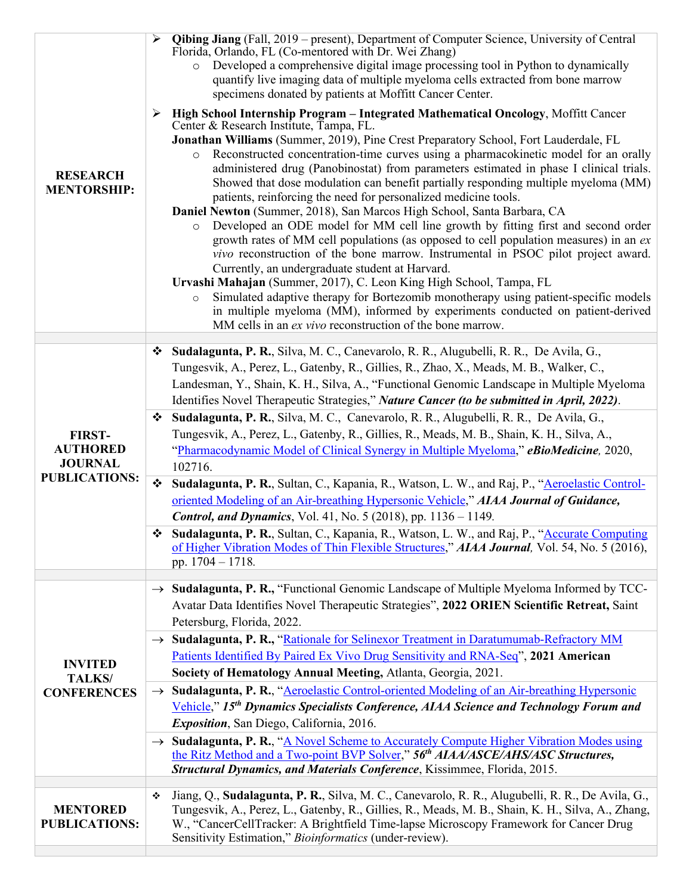| <b>RESEARCH</b><br><b>MENTORSHIP:</b>                                      | Qibing Jiang (Fall, 2019 – present), Department of Computer Science, University of Central<br>Florida, Orlando, FL (Co-mentored with Dr. Wei Zhang)<br>Developed a comprehensive digital image processing tool in Python to dynamically<br>$\circ$<br>quantify live imaging data of multiple myeloma cells extracted from bone marrow<br>specimens donated by patients at Moffitt Cancer Center.<br>High School Internship Program - Integrated Mathematical Oncology, Moffitt Cancer<br>➤<br>Center & Research Institute, Tampa, FL.<br>Jonathan Williams (Summer, 2019), Pine Crest Preparatory School, Fort Lauderdale, FL<br>Reconstructed concentration-time curves using a pharmacokinetic model for an orally<br>$\circ$<br>administered drug (Panobinostat) from parameters estimated in phase I clinical trials.<br>Showed that dose modulation can benefit partially responding multiple myeloma (MM)<br>patients, reinforcing the need for personalized medicine tools.<br>Daniel Newton (Summer, 2018), San Marcos High School, Santa Barbara, CA<br>Developed an ODE model for MM cell line growth by fitting first and second order<br>$\circ$<br>growth rates of MM cell populations (as opposed to cell population measures) in an ex<br><i>vivo</i> reconstruction of the bone marrow. Instrumental in PSOC pilot project award.<br>Currently, an undergraduate student at Harvard.<br>Urvashi Mahajan (Summer, 2017), C. Leon King High School, Tampa, FL<br>Simulated adaptive therapy for Bortezomib monotherapy using patient-specific models<br>$\circ$<br>in multiple myeloma (MM), informed by experiments conducted on patient-derived<br>MM cells in an ex vivo reconstruction of the bone marrow. |
|----------------------------------------------------------------------------|------------------------------------------------------------------------------------------------------------------------------------------------------------------------------------------------------------------------------------------------------------------------------------------------------------------------------------------------------------------------------------------------------------------------------------------------------------------------------------------------------------------------------------------------------------------------------------------------------------------------------------------------------------------------------------------------------------------------------------------------------------------------------------------------------------------------------------------------------------------------------------------------------------------------------------------------------------------------------------------------------------------------------------------------------------------------------------------------------------------------------------------------------------------------------------------------------------------------------------------------------------------------------------------------------------------------------------------------------------------------------------------------------------------------------------------------------------------------------------------------------------------------------------------------------------------------------------------------------------------------------------------------------------------------------------------------------------------------------|
| <b>FIRST-</b><br><b>AUTHORED</b><br><b>JOURNAL</b><br><b>PUBLICATIONS:</b> | Sudalagunta, P. R., Silva, M. C., Canevarolo, R. R., Alugubelli, R. R., De Avila, G.,<br>❖<br>Tungesvik, A., Perez, L., Gatenby, R., Gillies, R., Zhao, X., Meads, M. B., Walker, C.,<br>Landesman, Y., Shain, K. H., Silva, A., "Functional Genomic Landscape in Multiple Myeloma<br>Identifies Novel Therapeutic Strategies," Nature Cancer (to be submitted in April, 2022).<br>Sudalagunta, P. R., Silva, M. C., Canevarolo, R. R., Alugubelli, R. R., De Avila, G.,<br>❖                                                                                                                                                                                                                                                                                                                                                                                                                                                                                                                                                                                                                                                                                                                                                                                                                                                                                                                                                                                                                                                                                                                                                                                                                                                |
|                                                                            | Tungesvik, A., Perez, L., Gatenby, R., Gillies, R., Meads, M. B., Shain, K. H., Silva, A.,<br>"Pharmacodynamic Model of Clinical Synergy in Multiple Myeloma," eBioMedicine, 2020,<br>102716.                                                                                                                                                                                                                                                                                                                                                                                                                                                                                                                                                                                                                                                                                                                                                                                                                                                                                                                                                                                                                                                                                                                                                                                                                                                                                                                                                                                                                                                                                                                                |
|                                                                            | Sudalagunta, P. R., Sultan, C., Kapania, R., Watson, L. W., and Raj, P., "Aeroelastic Control-<br>❖<br>oriented Modeling of an Air-breathing Hypersonic Vehicle," AIAA Journal of Guidance,<br><b>Control, and Dynamics</b> , Vol. 41, No. 5 (2018), pp. 1136 - 1149.                                                                                                                                                                                                                                                                                                                                                                                                                                                                                                                                                                                                                                                                                                                                                                                                                                                                                                                                                                                                                                                                                                                                                                                                                                                                                                                                                                                                                                                        |
|                                                                            | Sudalagunta, P. R., Sultan, C., Kapania, R., Watson, L. W., and Raj, P., "Accurate Computing<br>❖<br>of Higher Vibration Modes of Thin Flexible Structures," AIAA Journal, Vol. 54, No. 5 (2016),<br>pp. $1704 - 1718$ .                                                                                                                                                                                                                                                                                                                                                                                                                                                                                                                                                                                                                                                                                                                                                                                                                                                                                                                                                                                                                                                                                                                                                                                                                                                                                                                                                                                                                                                                                                     |
| <b>INVITED</b><br><b>TALKS/</b><br><b>CONFERENCES</b>                      | $\rightarrow$ Sudalagunta, P. R., "Functional Genomic Landscape of Multiple Myeloma Informed by TCC-<br>Avatar Data Identifies Novel Therapeutic Strategies", 2022 ORIEN Scientific Retreat, Saint<br>Petersburg, Florida, 2022.                                                                                                                                                                                                                                                                                                                                                                                                                                                                                                                                                                                                                                                                                                                                                                                                                                                                                                                                                                                                                                                                                                                                                                                                                                                                                                                                                                                                                                                                                             |
|                                                                            | → Sudalagunta, P. R., "Rationale for Selinexor Treatment in Daratumumab-Refractory MM<br>Patients Identified By Paired Ex Vivo Drug Sensitivity and RNA-Seq", 2021 American<br>Society of Hematology Annual Meeting, Atlanta, Georgia, 2021.                                                                                                                                                                                                                                                                                                                                                                                                                                                                                                                                                                                                                                                                                                                                                                                                                                                                                                                                                                                                                                                                                                                                                                                                                                                                                                                                                                                                                                                                                 |
|                                                                            | Sudalagunta, P. R., "Aeroelastic Control-oriented Modeling of an Air-breathing Hypersonic<br>$\rightarrow$<br>Vehicle," 15 <sup>th</sup> Dynamics Specialists Conference, AIAA Science and Technology Forum and<br><i>Exposition</i> , San Diego, California, 2016.                                                                                                                                                                                                                                                                                                                                                                                                                                                                                                                                                                                                                                                                                                                                                                                                                                                                                                                                                                                                                                                                                                                                                                                                                                                                                                                                                                                                                                                          |
|                                                                            | $\rightarrow$ Sudalagunta, P. R., "A Novel Scheme to Accurately Compute Higher Vibration Modes using<br>the Ritz Method and a Two-point BVP Solver," 56 <sup>th</sup> AIAA/ASCE/AHS/ASC Structures,<br>Structural Dynamics, and Materials Conference, Kissimmee, Florida, 2015.                                                                                                                                                                                                                                                                                                                                                                                                                                                                                                                                                                                                                                                                                                                                                                                                                                                                                                                                                                                                                                                                                                                                                                                                                                                                                                                                                                                                                                              |
| <b>MENTORED</b><br><b>PUBLICATIONS:</b>                                    | Jiang, Q., Sudalagunta, P. R., Silva, M. C., Canevarolo, R. R., Alugubelli, R. R., De Avila, G.,<br>❖<br>Tungesvik, A., Perez, L., Gatenby, R., Gillies, R., Meads, M. B., Shain, K. H., Silva, A., Zhang,<br>W., "CancerCellTracker: A Brightfield Time-lapse Microscopy Framework for Cancer Drug<br>Sensitivity Estimation," Bioinformatics (under-review).                                                                                                                                                                                                                                                                                                                                                                                                                                                                                                                                                                                                                                                                                                                                                                                                                                                                                                                                                                                                                                                                                                                                                                                                                                                                                                                                                               |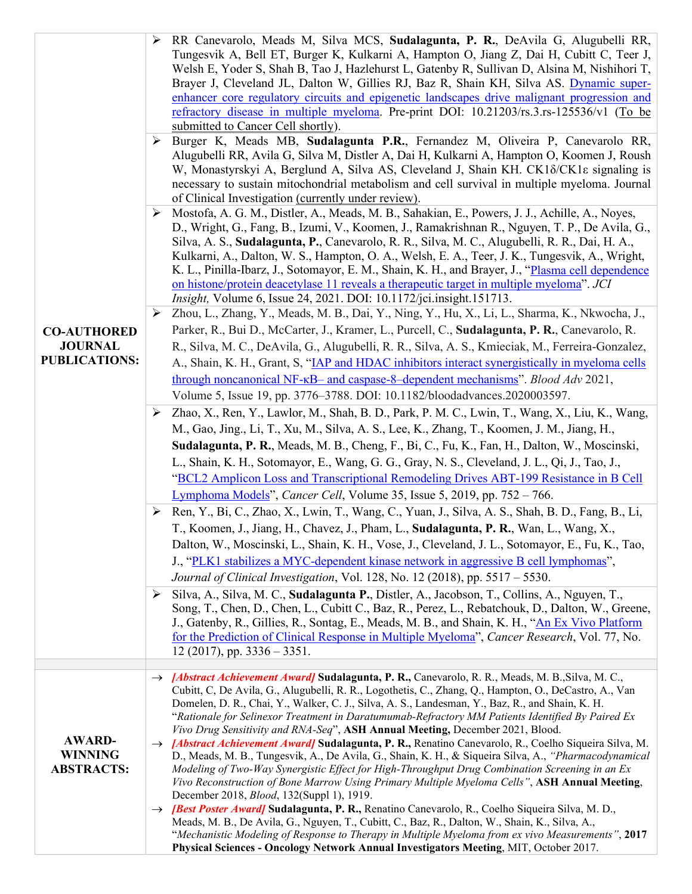| <b>CO-AUTHORED</b><br><b>JOURNAL</b><br><b>PUBLICATIONS:</b> | RR Canevarolo, Meads M, Silva MCS, Sudalagunta, P. R., DeAvila G, Alugubelli RR,<br>Tungesvik A, Bell ET, Burger K, Kulkarni A, Hampton O, Jiang Z, Dai H, Cubitt C, Teer J,<br>Welsh E, Yoder S, Shah B, Tao J, Hazlehurst L, Gatenby R, Sullivan D, Alsina M, Nishihori T,<br>Brayer J, Cleveland JL, Dalton W, Gillies RJ, Baz R, Shain KH, Silva AS. Dynamic super-<br>enhancer core regulatory circuits and epigenetic landscapes drive malignant progression and<br>refractory disease in multiple myeloma. Pre-print DOI: $10.21203$ /rs.3.rs-125536/v1 (To be<br>submitted to Cancer Cell shortly).<br>Burger K, Meads MB, Sudalagunta P.R., Fernandez M, Oliveira P, Canevarolo RR,<br>➤<br>Alugubelli RR, Avila G, Silva M, Distler A, Dai H, Kulkarni A, Hampton O, Koomen J, Roush<br>W, Monastyrskyi A, Berglund A, Silva AS, Cleveland J, Shain KH. CK1 $\delta/CK1\epsilon$ signaling is<br>necessary to sustain mitochondrial metabolism and cell survival in multiple myeloma. Journal<br>of Clinical Investigation (currently under review).<br>Mostofa, A. G. M., Distler, A., Meads, M. B., Sahakian, E., Powers, J. J., Achille, A., Noyes,<br>➤<br>D., Wright, G., Fang, B., Izumi, V., Koomen, J., Ramakrishnan R., Nguyen, T. P., De Avila, G.,<br>Silva, A. S., Sudalagunta, P., Canevarolo, R. R., Silva, M. C., Alugubelli, R. R., Dai, H. A.,<br>Kulkarni, A., Dalton, W. S., Hampton, O. A., Welsh, E. A., Teer, J. K., Tungesvik, A., Wright,<br>K. L., Pinilla-Ibarz, J., Sotomayor, E. M., Shain, K. H., and Brayer, J., "Plasma cell dependence<br><u>on histone/protein deacetylase 11 reveals a therapeutic target in multiple myeloma".</u> JCI<br><i>Insight</i> , Volume 6, Issue 24, 2021. DOI: 10.1172/jci.insight.151713.<br>Zhou, L., Zhang, Y., Meads, M. B., Dai, Y., Ning, Y., Hu, X., Li, L., Sharma, K., Nkwocha, J.,<br>➤<br>Parker, R., Bui D., McCarter, J., Kramer, L., Purcell, C., Sudalagunta, P. R., Canevarolo, R.<br>R., Silva, M. C., DeAvila, G., Alugubelli, R. R., Silva, A. S., Kmieciak, M., Ferreira-Gonzalez,<br>A., Shain, K. H., Grant, S, "IAP and HDAC inhibitors interact synergistically in myeloma cells<br>through noncanonical NF-kB- and caspase-8-dependent mechanisms". Blood Adv 2021,<br>Volume 5, Issue 19, pp. 3776-3788. DOI: 10.1182/bloodadvances.2020003597.<br>Zhao, X., Ren, Y., Lawlor, M., Shah, B. D., Park, P. M. C., Lwin, T., Wang, X., Liu, K., Wang,<br>➤<br>M., Gao, Jing., Li, T., Xu, M., Silva, A. S., Lee, K., Zhang, T., Koomen, J. M., Jiang, H.,<br>Sudalagunta, P. R., Meads, M. B., Cheng, F., Bi, C., Fu, K., Fan, H., Dalton, W., Moscinski,<br>L., Shain, K. H., Sotomayor, E., Wang, G. G., Gray, N. S., Cleveland, J. L., Qi, J., Tao, J.,<br>"BCL2 Amplicon Loss and Transcriptional Remodeling Drives ABT-199 Resistance in B Cell<br>Lymphoma Models", Cancer Cell, Volume 35, Issue 5, 2019, pp. 752 – 766. |
|--------------------------------------------------------------|-------------------------------------------------------------------------------------------------------------------------------------------------------------------------------------------------------------------------------------------------------------------------------------------------------------------------------------------------------------------------------------------------------------------------------------------------------------------------------------------------------------------------------------------------------------------------------------------------------------------------------------------------------------------------------------------------------------------------------------------------------------------------------------------------------------------------------------------------------------------------------------------------------------------------------------------------------------------------------------------------------------------------------------------------------------------------------------------------------------------------------------------------------------------------------------------------------------------------------------------------------------------------------------------------------------------------------------------------------------------------------------------------------------------------------------------------------------------------------------------------------------------------------------------------------------------------------------------------------------------------------------------------------------------------------------------------------------------------------------------------------------------------------------------------------------------------------------------------------------------------------------------------------------------------------------------------------------------------------------------------------------------------------------------------------------------------------------------------------------------------------------------------------------------------------------------------------------------------------------------------------------------------------------------------------------------------------------------------------------------------------------------------------------------------------------------------------------------------------------------------------------------------------------------------------------------------------------------------------------------------------------------------------------------------------------------------------------------------------------------------------------------------------------------------------------------------------------------------------------------------------------------------------------------------------|
|                                                              | Ren, Y., Bi, C., Zhao, X., Lwin, T., Wang, C., Yuan, J., Silva, A. S., Shah, B. D., Fang, B., Li,<br>➤<br>T., Koomen, J., Jiang, H., Chavez, J., Pham, L., Sudalagunta, P. R., Wan, L., Wang, X.,<br>Dalton, W., Moscinski, L., Shain, K. H., Vose, J., Cleveland, J. L., Sotomayor, E., Fu, K., Tao,<br>J., "PLK1 stabilizes a MYC-dependent kinase network in aggressive B cell lymphomas",<br>Journal of Clinical Investigation, Vol. 128, No. 12 (2018), pp. 5517 - 5530.<br>Silva, A., Silva, M. C., Sudalagunta P., Distler, A., Jacobson, T., Collins, A., Nguyen, T.,<br>➤<br>Song, T., Chen, D., Chen, L., Cubitt C., Baz, R., Perez, L., Rebatchouk, D., Dalton, W., Greene,<br>J., Gatenby, R., Gillies, R., Sontag, E., Meads, M. B., and Shain, K. H., "An Ex Vivo Platform<br>for the Prediction of Clinical Response in Multiple Myeloma", Cancer Research, Vol. 77, No.<br>$12(2017)$ , pp. 3336 - 3351.                                                                                                                                                                                                                                                                                                                                                                                                                                                                                                                                                                                                                                                                                                                                                                                                                                                                                                                                                                                                                                                                                                                                                                                                                                                                                                                                                                                                                                                                                                                                                                                                                                                                                                                                                                                                                                                                                                                                                                                                      |
|                                                              |                                                                                                                                                                                                                                                                                                                                                                                                                                                                                                                                                                                                                                                                                                                                                                                                                                                                                                                                                                                                                                                                                                                                                                                                                                                                                                                                                                                                                                                                                                                                                                                                                                                                                                                                                                                                                                                                                                                                                                                                                                                                                                                                                                                                                                                                                                                                                                                                                                                                                                                                                                                                                                                                                                                                                                                                                                                                                                                               |
| <b>AWARD-</b><br><b>WINNING</b><br><b>ABSTRACTS:</b>         | Abstract Achievement Award Sudalagunta, P. R., Canevarolo, R. R., Meads, M. B., Silva, M. C.,<br>Cubitt, C, De Avila, G., Alugubelli, R. R., Logothetis, C., Zhang, Q., Hampton, O., DeCastro, A., Van<br>Domelen, D. R., Chai, Y., Walker, C. J., Silva, A. S., Landesman, Y., Baz, R., and Shain, K. H.<br>"Rationale for Selinexor Treatment in Daratumumab-Refractory MM Patients Identified By Paired Ex<br>Vivo Drug Sensitivity and RNA-Seq", ASH Annual Meeting, December 2021, Blood.<br>Abstract Achievement Award] Sudalagunta, P. R., Renatino Canevarolo, R., Coelho Siqueira Silva, M.<br>D., Meads, M. B., Tungesvik, A., De Avila, G., Shain, K. H., & Siqueira Silva, A., "Pharmacodynamical<br>Modeling of Two-Way Synergistic Effect for High-Throughput Drug Combination Screening in an Ex<br>Vivo Reconstruction of Bone Marrow Using Primary Multiple Myeloma Cells", ASH Annual Meeting,<br>December 2018, <i>Blood</i> , 132(Suppl 1), 1919.<br>→ <i>[Best Poster Award]</i> Sudalagunta, P. R., Renatino Canevarolo, R., Coelho Siqueira Silva, M. D.,<br>Meads, M. B., De Avila, G., Nguyen, T., Cubitt, C., Baz, R., Dalton, W., Shain, K., Silva, A.,<br>"Mechanistic Modeling of Response to Therapy in Multiple Myeloma from ex vivo Measurements", 2017<br>Physical Sciences - Oncology Network Annual Investigators Meeting, MIT, October 2017.                                                                                                                                                                                                                                                                                                                                                                                                                                                                                                                                                                                                                                                                                                                                                                                                                                                                                                                                                                                                                                                                                                                                                                                                                                                                                                                                                                                                                                                                                                                                              |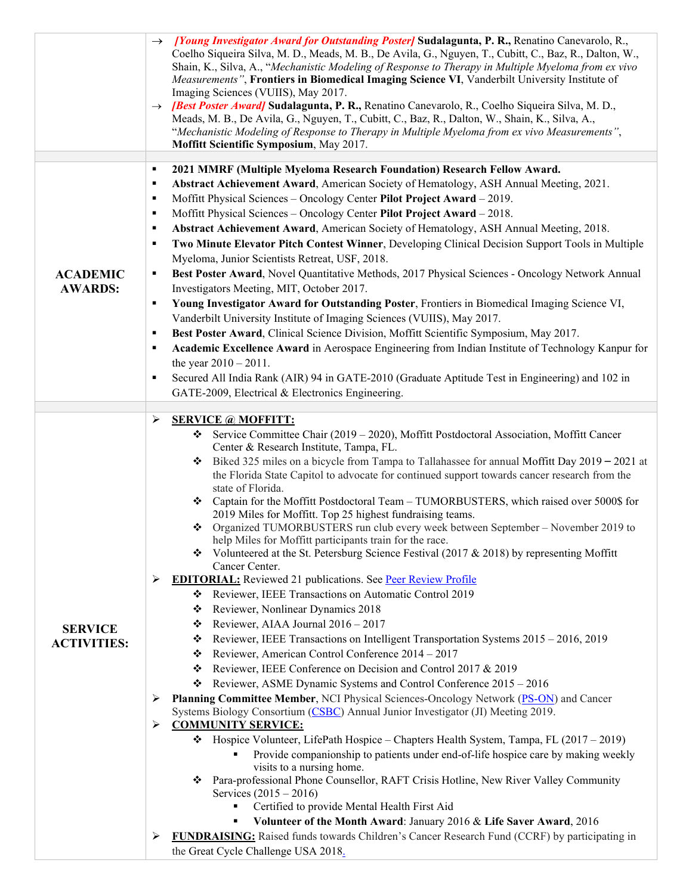|                                   | $\rightarrow$ [Young Investigator Award for Outstanding Poster] Sudalagunta, P. R., Renatino Canevarolo, R.,<br>Coelho Siqueira Silva, M. D., Meads, M. B., De Avila, G., Nguyen, T., Cubitt, C., Baz, R., Dalton, W.,<br>Shain, K., Silva, A., "Mechanistic Modeling of Response to Therapy in Multiple Myeloma from ex vivo<br>Measurements", Frontiers in Biomedical Imaging Science VI, Vanderbilt University Institute of<br>Imaging Sciences (VUIIS), May 2017.<br><i>[Best Poster Award]</i> Sudalagunta, P. R., Renatino Canevarolo, R., Coelho Siqueira Silva, M. D.,<br>$\rightarrow$<br>Meads, M. B., De Avila, G., Nguyen, T., Cubitt, C., Baz, R., Dalton, W., Shain, K., Silva, A.,<br>"Mechanistic Modeling of Response to Therapy in Multiple Myeloma from ex vivo Measurements",<br>Moffitt Scientific Symposium, May 2017. |
|-----------------------------------|----------------------------------------------------------------------------------------------------------------------------------------------------------------------------------------------------------------------------------------------------------------------------------------------------------------------------------------------------------------------------------------------------------------------------------------------------------------------------------------------------------------------------------------------------------------------------------------------------------------------------------------------------------------------------------------------------------------------------------------------------------------------------------------------------------------------------------------------|
|                                   | 2021 MMRF (Multiple Myeloma Research Foundation) Research Fellow Award.<br>٠                                                                                                                                                                                                                                                                                                                                                                                                                                                                                                                                                                                                                                                                                                                                                                 |
|                                   | Abstract Achievement Award, American Society of Hematology, ASH Annual Meeting, 2021.<br>٠<br>Moffitt Physical Sciences - Oncology Center Pilot Project Award - 2019.<br>٠<br>Moffitt Physical Sciences - Oncology Center Pilot Project Award - 2018.<br>٠<br>Abstract Achievement Award, American Society of Hematology, ASH Annual Meeting, 2018.<br>٠<br>Two Minute Elevator Pitch Contest Winner, Developing Clinical Decision Support Tools in Multiple<br>٠                                                                                                                                                                                                                                                                                                                                                                            |
|                                   | Myeloma, Junior Scientists Retreat, USF, 2018.                                                                                                                                                                                                                                                                                                                                                                                                                                                                                                                                                                                                                                                                                                                                                                                               |
| <b>ACADEMIC</b><br><b>AWARDS:</b> | Best Poster Award, Novel Quantitative Methods, 2017 Physical Sciences - Oncology Network Annual<br>٠<br>Investigators Meeting, MIT, October 2017.                                                                                                                                                                                                                                                                                                                                                                                                                                                                                                                                                                                                                                                                                            |
|                                   | Young Investigator Award for Outstanding Poster, Frontiers in Biomedical Imaging Science VI,<br>٠                                                                                                                                                                                                                                                                                                                                                                                                                                                                                                                                                                                                                                                                                                                                            |
|                                   | Vanderbilt University Institute of Imaging Sciences (VUIIS), May 2017.                                                                                                                                                                                                                                                                                                                                                                                                                                                                                                                                                                                                                                                                                                                                                                       |
|                                   | Best Poster Award, Clinical Science Division, Moffitt Scientific Symposium, May 2017.<br>٠                                                                                                                                                                                                                                                                                                                                                                                                                                                                                                                                                                                                                                                                                                                                                   |
|                                   | Academic Excellence Award in Aerospace Engineering from Indian Institute of Technology Kanpur for<br>٠                                                                                                                                                                                                                                                                                                                                                                                                                                                                                                                                                                                                                                                                                                                                       |
|                                   | the year $2010 - 2011$ .                                                                                                                                                                                                                                                                                                                                                                                                                                                                                                                                                                                                                                                                                                                                                                                                                     |
|                                   | Secured All India Rank (AIR) 94 in GATE-2010 (Graduate Aptitude Test in Engineering) and 102 in<br>٠                                                                                                                                                                                                                                                                                                                                                                                                                                                                                                                                                                                                                                                                                                                                         |
|                                   | GATE-2009, Electrical & Electronics Engineering.                                                                                                                                                                                                                                                                                                                                                                                                                                                                                                                                                                                                                                                                                                                                                                                             |
|                                   | <b>SERVICE @ MOFFITT:</b><br>➤                                                                                                                                                                                                                                                                                                                                                                                                                                                                                                                                                                                                                                                                                                                                                                                                               |
|                                   | Service Committee Chair (2019 - 2020), Moffitt Postdoctoral Association, Moffitt Cancer<br>❖<br>Center & Research Institute, Tampa, FL.<br>Biked 325 miles on a bicycle from Tampa to Tallahassee for annual Moffitt Day $2019 - 2021$ at<br>❖                                                                                                                                                                                                                                                                                                                                                                                                                                                                                                                                                                                               |
|                                   | the Florida State Capitol to advocate for continued support towards cancer research from the<br>state of Florida.                                                                                                                                                                                                                                                                                                                                                                                                                                                                                                                                                                                                                                                                                                                            |
|                                   | ❖ Captain for the Moffitt Postdoctoral Team – TUMORBUSTERS, which raised over 5000\$ for<br>2019 Miles for Moffitt. Top 25 highest fundraising teams.                                                                                                                                                                                                                                                                                                                                                                                                                                                                                                                                                                                                                                                                                        |
|                                   | Organized TUMORBUSTERS run club every week between September - November 2019 to<br>❖<br>help Miles for Moffitt participants train for the race.                                                                                                                                                                                                                                                                                                                                                                                                                                                                                                                                                                                                                                                                                              |
|                                   | $\bullet\bullet\quad$ Volunteered at the St. Petersburg Science Festival (2017 & 2018) by representing Moffitt<br>Cancer Center.                                                                                                                                                                                                                                                                                                                                                                                                                                                                                                                                                                                                                                                                                                             |
|                                   | <b>EDITORIAL:</b> Reviewed 21 publications. See Peer Review Profile<br>➤                                                                                                                                                                                                                                                                                                                                                                                                                                                                                                                                                                                                                                                                                                                                                                     |
|                                   | * Reviewer, IEEE Transactions on Automatic Control 2019                                                                                                                                                                                                                                                                                                                                                                                                                                                                                                                                                                                                                                                                                                                                                                                      |
|                                   | Reviewer, Nonlinear Dynamics 2018<br>❖                                                                                                                                                                                                                                                                                                                                                                                                                                                                                                                                                                                                                                                                                                                                                                                                       |
| <b>SERVICE</b>                    | Reviewer, AIAA Journal 2016 - 2017<br>❖                                                                                                                                                                                                                                                                                                                                                                                                                                                                                                                                                                                                                                                                                                                                                                                                      |
| <b>ACTIVITIES:</b>                | Reviewer, IEEE Transactions on Intelligent Transportation Systems 2015 - 2016, 2019<br>❖                                                                                                                                                                                                                                                                                                                                                                                                                                                                                                                                                                                                                                                                                                                                                     |
|                                   | Reviewer, American Control Conference 2014 - 2017<br>❖                                                                                                                                                                                                                                                                                                                                                                                                                                                                                                                                                                                                                                                                                                                                                                                       |
|                                   | Reviewer, IEEE Conference on Decision and Control 2017 & 2019<br>❖                                                                                                                                                                                                                                                                                                                                                                                                                                                                                                                                                                                                                                                                                                                                                                           |
|                                   | Reviewer, ASME Dynamic Systems and Control Conference 2015 - 2016<br>❖                                                                                                                                                                                                                                                                                                                                                                                                                                                                                                                                                                                                                                                                                                                                                                       |
|                                   | Planning Committee Member, NCI Physical Sciences-Oncology Network (PS-ON) and Cancer<br>➤<br>Systems Biology Consortium (CSBC) Annual Junior Investigator (JI) Meeting 2019.<br><b>COMMUNITY SERVICE:</b><br>➤                                                                                                                                                                                                                                                                                                                                                                                                                                                                                                                                                                                                                               |
|                                   | * Hospice Volunteer, LifePath Hospice - Chapters Health System, Tampa, FL (2017 - 2019)                                                                                                                                                                                                                                                                                                                                                                                                                                                                                                                                                                                                                                                                                                                                                      |
|                                   | Provide companionship to patients under end-of-life hospice care by making weekly<br>visits to a nursing home.                                                                                                                                                                                                                                                                                                                                                                                                                                                                                                                                                                                                                                                                                                                               |
|                                   | Para-professional Phone Counsellor, RAFT Crisis Hotline, New River Valley Community<br>❖                                                                                                                                                                                                                                                                                                                                                                                                                                                                                                                                                                                                                                                                                                                                                     |
|                                   | Services $(2015 - 2016)$<br>Certified to provide Mental Health First Aid                                                                                                                                                                                                                                                                                                                                                                                                                                                                                                                                                                                                                                                                                                                                                                     |
|                                   | Volunteer of the Month Award: January 2016 & Life Saver Award, 2016                                                                                                                                                                                                                                                                                                                                                                                                                                                                                                                                                                                                                                                                                                                                                                          |
|                                   | <b>FUNDRAISING:</b> Raised funds towards Children's Cancer Research Fund (CCRF) by participating in<br>➤                                                                                                                                                                                                                                                                                                                                                                                                                                                                                                                                                                                                                                                                                                                                     |
|                                   | the Great Cycle Challenge USA 2018.                                                                                                                                                                                                                                                                                                                                                                                                                                                                                                                                                                                                                                                                                                                                                                                                          |